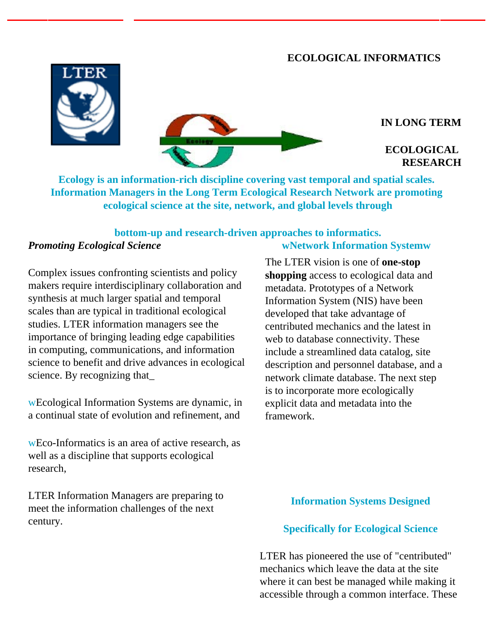# **ECOLOGICAL INFORMATICS**





### **IN LONG TERM**

# **ECOLOGICAL RESEARCH**

**Ecology is an information-rich discipline covering vast temporal and spatial scales. Information Managers in the Long Term Ecological Research Network are promoting ecological science at the site, network, and global levels through** 

#### **bottom-up and research-driven approaches to informatics.**  *Promoting Ecological Science*  **wNetwork Information Systemw**

Complex issues confronting scientists and policy makers require interdisciplinary collaboration and synthesis at much larger spatial and temporal scales than are typical in traditional ecological studies. LTER information managers see the importance of bringing leading edge capabilities in computing, communications, and information science to benefit and drive advances in ecological science. By recognizing that\_

wEcological Information Systems are dynamic, in a continual state of evolution and refinement, and

wEco-Informatics is an area of active research, as well as a discipline that supports ecological research,

LTER Information Managers are preparing to meet the information challenges of the next century.

The LTER vision is one of **one-stop shopping** access to ecological data and metadata. Prototypes of a Network Information System (NIS) have been developed that take advantage of centributed mechanics and the latest in web to database connectivity. These include a streamlined data catalog, site description and personnel database, and a network climate database. The next step is to incorporate more ecologically explicit data and metadata into the framework.

# **Information Systems Designed**

### **Specifically for Ecological Science**

LTER has pioneered the use of "centributed" mechanics which leave the data at the site where it can best be managed while making it accessible through a common interface. These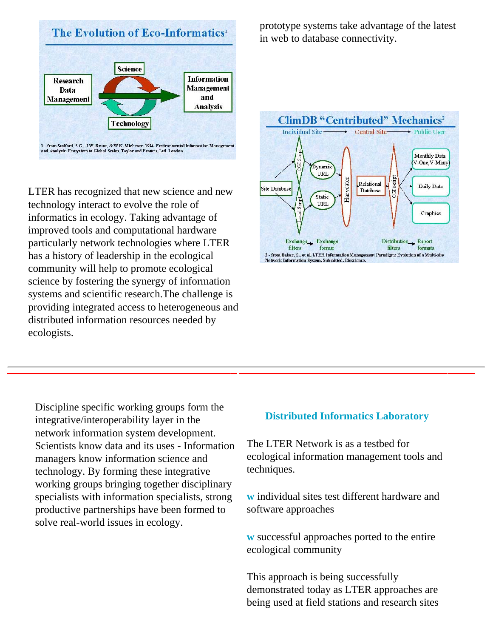

LTER has recognized that new science and new technology interact to evolve the role of informatics in ecology. Taking advantage of improved tools and computational hardware particularly network technologies where LTER has a history of leadership in the ecological community will help to promote ecological science by fostering the synergy of information systems and scientific research.The challenge is providing integrated access to heterogeneous and distributed information resources needed by ecologists.

prototype systems take advantage of the latest in web to database connectivity.



Discipline specific working groups form the integrative/interoperability layer in the network information system development. Scientists know data and its uses - Information managers know information science and technology. By forming these integrative working groups bringing together disciplinary specialists with information specialists, strong productive partnerships have been formed to solve real-world issues in ecology.

### **Distributed Informatics Laboratory**

The LTER Network is as a testbed for ecological information management tools and techniques.

**w** individual sites test different hardware and software approaches

**w** successful approaches ported to the entire ecological community

This approach is being successfully demonstrated today as LTER approaches are being used at field stations and research sites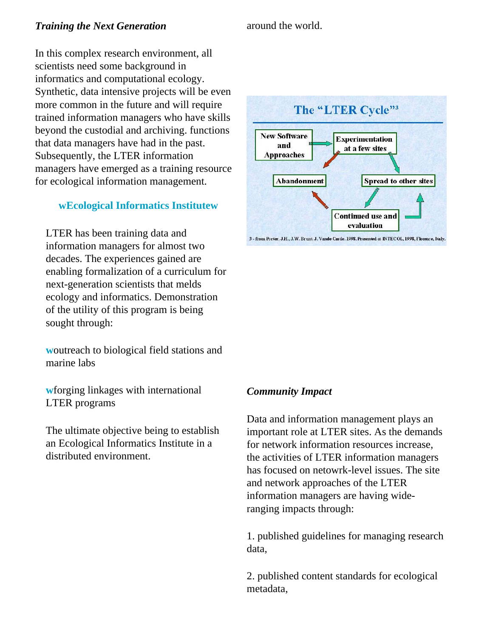# **Training the Next Generation** around the world.

In this complex research environment, all scientists need some background in informatics and computational ecology. Synthetic, data intensive projects will be even more common in the future and will require trained information managers who have skills beyond the custodial and archiving. functions that data managers have had in the past. Subsequently, the LTER information managers have emerged as a training resource for ecological information management.

# **wEcological Informatics Institutew**

LTER has been training data and information managers for almost two decades. The experiences gained are enabling formalization of a curriculum for next-generation scientists that melds ecology and informatics. Demonstration of the utility of this program is being sought through:

**w**outreach to biological field stations and marine labs

**w**forging linkages with international LTER programs

The ultimate objective being to establish an Ecological Informatics Institute in a distributed environment.



3 - from Porter, J.H., J.W. Brunt, J. Vande Castle. 1998. Presented at INTECOL, 1998, Florence, Italy.

### *Community Impact*

Data and information management plays an important role at LTER sites. As the demands for network information resources increase, the activities of LTER information managers has focused on netowrk-level issues. The site and network approaches of the LTER information managers are having wideranging impacts through:

1. published guidelines for managing research data,

2. published content standards for ecological metadata,